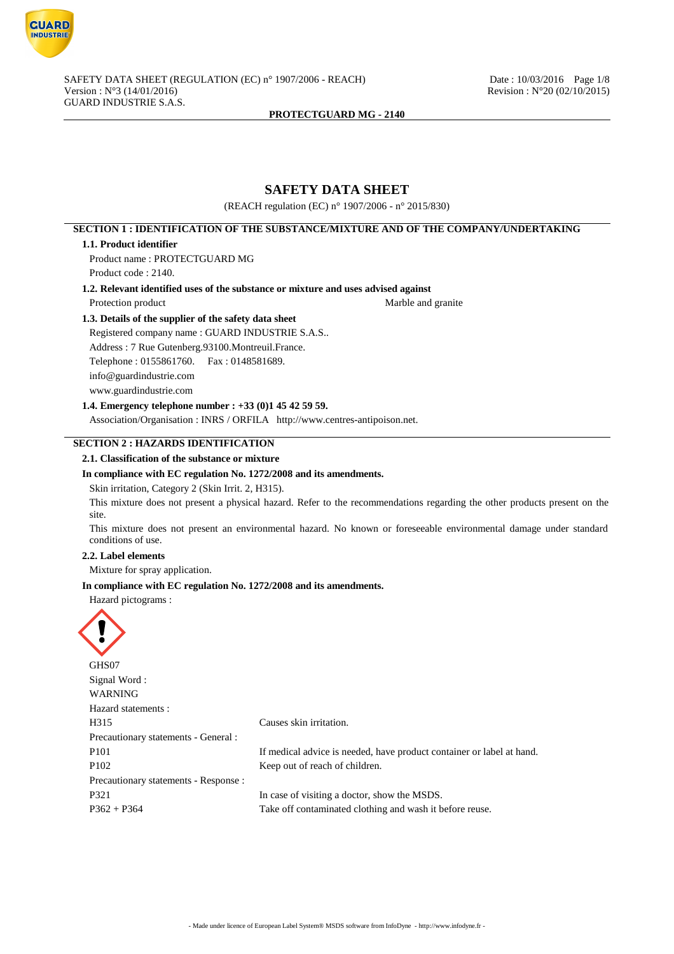

# **SAFETY DATA SHEET**

(REACH regulation (EC) n° 1907/2006 - n° 2015/830)

# **SECTION 1 : IDENTIFICATION OF THE SUBSTANCE/MIXTURE AND OF THE COMPANY/UNDERTAKING**

#### **1.1. Product identifier**

Product name : PROTECTGUARD MG Product code : 2140.

**1.2. Relevant identified uses of the substance or mixture and uses advised against**

Protection product Marble and granite

# **1.3. Details of the supplier of the safety data sheet**

Registered company name : GUARD INDUSTRIE S.A.S.. Address : 7 Rue Gutenberg.93100.Montreuil.France. Telephone : 0155861760. Fax : 0148581689. info@guardindustrie.com www.guardindustrie.com

## **1.4. Emergency telephone number : +33 (0)1 45 42 59 59.**

Association/Organisation : INRS / ORFILA http://www.centres-antipoison.net.

# **SECTION 2 : HAZARDS IDENTIFICATION**

## **2.1. Classification of the substance or mixture**

#### **In compliance with EC regulation No. 1272/2008 and its amendments.**

Skin irritation, Category 2 (Skin Irrit. 2, H315).

This mixture does not present a physical hazard. Refer to the recommendations regarding the other products present on the site.

This mixture does not present an environmental hazard. No known or foreseeable environmental damage under standard conditions of use.

## **2.2. Label elements**

Mixture for spray application.

#### **In compliance with EC regulation No. 1272/2008 and its amendments.**

Hazard pictograms :



| Causes skin irritation.                                               |
|-----------------------------------------------------------------------|
|                                                                       |
| If medical advice is needed, have product container or label at hand. |
| Keep out of reach of children.                                        |
|                                                                       |
| In case of visiting a doctor, show the MSDS.                          |
| Take off contaminated clothing and wash it before reuse.              |
|                                                                       |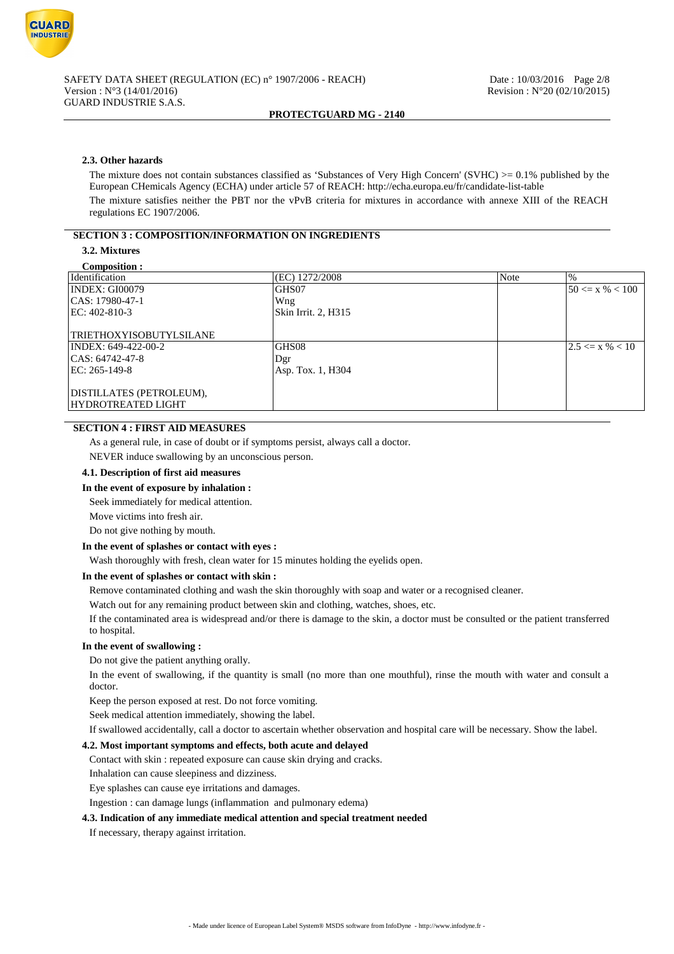

## **2.3. Other hazards**

The mixture does not contain substances classified as 'Substances of Very High Concern' (SVHC)  $>= 0.1\%$  published by the European CHemicals Agency (ECHA) under article 57 of REACH: http://echa.europa.eu/fr/candidate-list-table The mixture satisfies neither the PBT nor the vPvB criteria for mixtures in accordance with annexe XIII of the REACH regulations EC 1907/2006.

## **SECTION 3 : COMPOSITION/INFORMATION ON INGREDIENTS**

## **3.2. Mixtures**

| Composition :                  |                     |      |                     |
|--------------------------------|---------------------|------|---------------------|
| Identification                 | (EC) 1272/2008      | Note | $\%$                |
| INDEX: GI00079                 | GHS07               |      | $50 \le x \% < 100$ |
| $ CAS: 17980-47-1$             | Wng                 |      |                     |
| EC: 402-810-3                  | Skin Irrit. 2, H315 |      |                     |
|                                |                     |      |                     |
| <b>TRIETHOXYISOBUTYLSILANE</b> |                     |      |                     |
| INDEX: 649-422-00-2            | GHS08               |      | $2.5 \le x \% < 10$ |
| $ CAS: 64742-47-8$             | Dgr                 |      |                     |
| EC: 265-149-8                  | Asp. Tox. 1, H304   |      |                     |
|                                |                     |      |                     |
| DISTILLATES (PETROLEUM),       |                     |      |                     |
| HYDROTREATED LIGHT             |                     |      |                     |
|                                |                     |      |                     |

## **SECTION 4 : FIRST AID MEASURES**

As a general rule, in case of doubt or if symptoms persist, always call a doctor.

NEVER induce swallowing by an unconscious person.

## **4.1. Description of first aid measures**

## **In the event of exposure by inhalation :**

Seek immediately for medical attention.

Move victims into fresh air.

Do not give nothing by mouth.

#### **In the event of splashes or contact with eyes :**

Wash thoroughly with fresh, clean water for 15 minutes holding the eyelids open.

## **In the event of splashes or contact with skin :**

Remove contaminated clothing and wash the skin thoroughly with soap and water or a recognised cleaner.

Watch out for any remaining product between skin and clothing, watches, shoes, etc.

If the contaminated area is widespread and/or there is damage to the skin, a doctor must be consulted or the patient transferred to hospital.

#### **In the event of swallowing :**

Do not give the patient anything orally.

In the event of swallowing, if the quantity is small (no more than one mouthful), rinse the mouth with water and consult a doctor.

Keep the person exposed at rest. Do not force vomiting.

Seek medical attention immediately, showing the label.

If swallowed accidentally, call a doctor to ascertain whether observation and hospital care will be necessary. Show the label.

## **4.2. Most important symptoms and effects, both acute and delayed**

Contact with skin : repeated exposure can cause skin drying and cracks.

Inhalation can cause sleepiness and dizziness.

Eye splashes can cause eye irritations and damages.

Ingestion : can damage lungs (inflammation and pulmonary edema)

#### **4.3. Indication of any immediate medical attention and special treatment needed**

If necessary, therapy against irritation.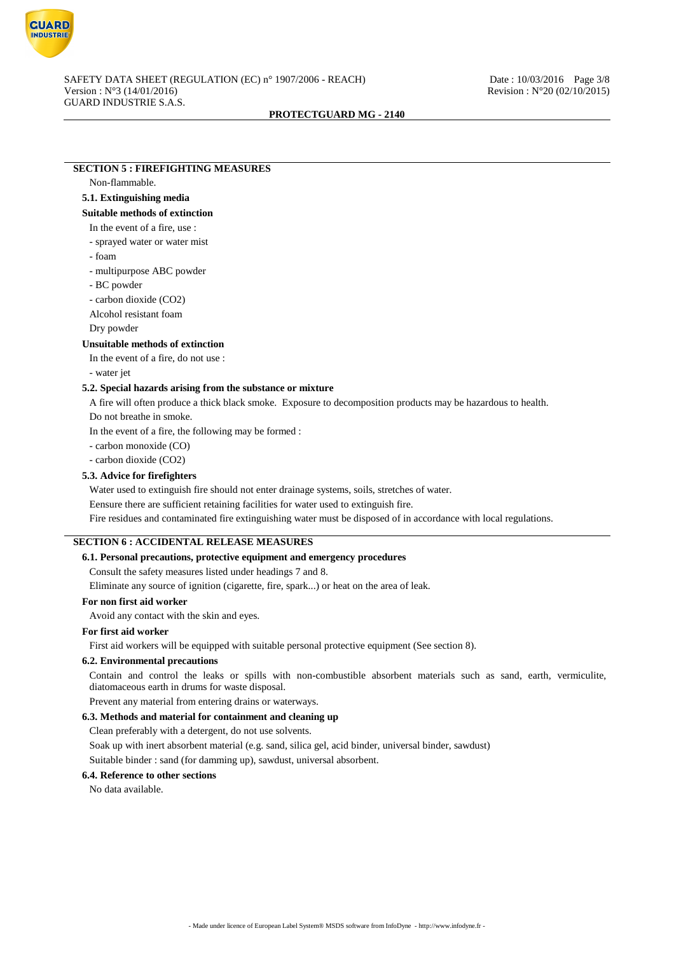

# **SECTION 5 : FIREFIGHTING MEASURES**

## Non-flammable.

## **5.1. Extinguishing media**

**Suitable methods of extinction**

## In the event of a fire, use :

- sprayed water or water mist
- foam
- multipurpose ABC powder
- BC powder
- carbon dioxide (CO2)
- Alcohol resistant foam
- Dry powder

## **Unsuitable methods of extinction**

In the event of a fire, do not use :

- water jet

## **5.2. Special hazards arising from the substance or mixture**

A fire will often produce a thick black smoke. Exposure to decomposition products may be hazardous to health. Do not breathe in smoke.

In the event of a fire, the following may be formed :

- carbon monoxide (CO)

- carbon dioxide (CO2)

## **5.3. Advice for firefighters**

Water used to extinguish fire should not enter drainage systems, soils, stretches of water.

Eensure there are sufficient retaining facilities for water used to extinguish fire.

Fire residues and contaminated fire extinguishing water must be disposed of in accordance with local regulations.

# **SECTION 6 : ACCIDENTAL RELEASE MEASURES**

## **6.1. Personal precautions, protective equipment and emergency procedures**

Consult the safety measures listed under headings 7 and 8.

Eliminate any source of ignition (cigarette, fire, spark...) or heat on the area of leak.

#### **For non first aid worker**

Avoid any contact with the skin and eyes.

#### **For first aid worker**

First aid workers will be equipped with suitable personal protective equipment (See section 8).

## **6.2. Environmental precautions**

Contain and control the leaks or spills with non-combustible absorbent materials such as sand, earth, vermiculite, diatomaceous earth in drums for waste disposal.

Prevent any material from entering drains or waterways.

## **6.3. Methods and material for containment and cleaning up**

Clean preferably with a detergent, do not use solvents.

Soak up with inert absorbent material (e.g. sand, silica gel, acid binder, universal binder, sawdust)

Suitable binder : sand (for damming up), sawdust, universal absorbent.

# **6.4. Reference to other sections**

No data available.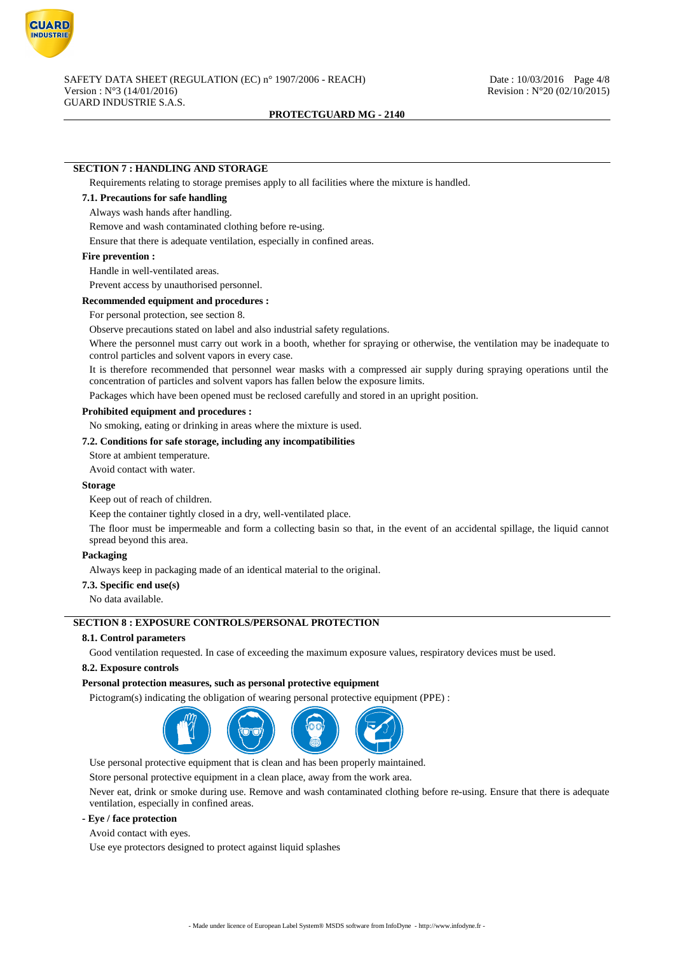

## **SECTION 7 : HANDLING AND STORAGE**

Requirements relating to storage premises apply to all facilities where the mixture is handled.

# **7.1. Precautions for safe handling**

#### Always wash hands after handling.

Remove and wash contaminated clothing before re-using.

Ensure that there is adequate ventilation, especially in confined areas.

#### **Fire prevention :**

Handle in well-ventilated areas.

Prevent access by unauthorised personnel.

#### **Recommended equipment and procedures :**

For personal protection, see section 8.

Observe precautions stated on label and also industrial safety regulations.

Where the personnel must carry out work in a booth, whether for spraying or otherwise, the ventilation may be inadequate to control particles and solvent vapors in every case.

It is therefore recommended that personnel wear masks with a compressed air supply during spraying operations until the concentration of particles and solvent vapors has fallen below the exposure limits.

Packages which have been opened must be reclosed carefully and stored in an upright position.

#### **Prohibited equipment and procedures :**

No smoking, eating or drinking in areas where the mixture is used.

## **7.2. Conditions for safe storage, including any incompatibilities**

Store at ambient temperature.

Avoid contact with water.

#### **Storage**

Keep out of reach of children.

Keep the container tightly closed in a dry, well-ventilated place.

The floor must be impermeable and form a collecting basin so that, in the event of an accidental spillage, the liquid cannot spread beyond this area.

## **Packaging**

Always keep in packaging made of an identical material to the original.

## **7.3. Specific end use(s)**

No data available.

# **SECTION 8 : EXPOSURE CONTROLS/PERSONAL PROTECTION**

## **8.1. Control parameters**

Good ventilation requested. In case of exceeding the maximum exposure values, respiratory devices must be used.

#### **8.2. Exposure controls**

#### **Personal protection measures, such as personal protective equipment**

Pictogram(s) indicating the obligation of wearing personal protective equipment (PPE) :



Use personal protective equipment that is clean and has been properly maintained.

Store personal protective equipment in a clean place, away from the work area.

Never eat, drink or smoke during use. Remove and wash contaminated clothing before re-using. Ensure that there is adequate ventilation, especially in confined areas.

#### **- Eye / face protection**

Avoid contact with eyes.

Use eye protectors designed to protect against liquid splashes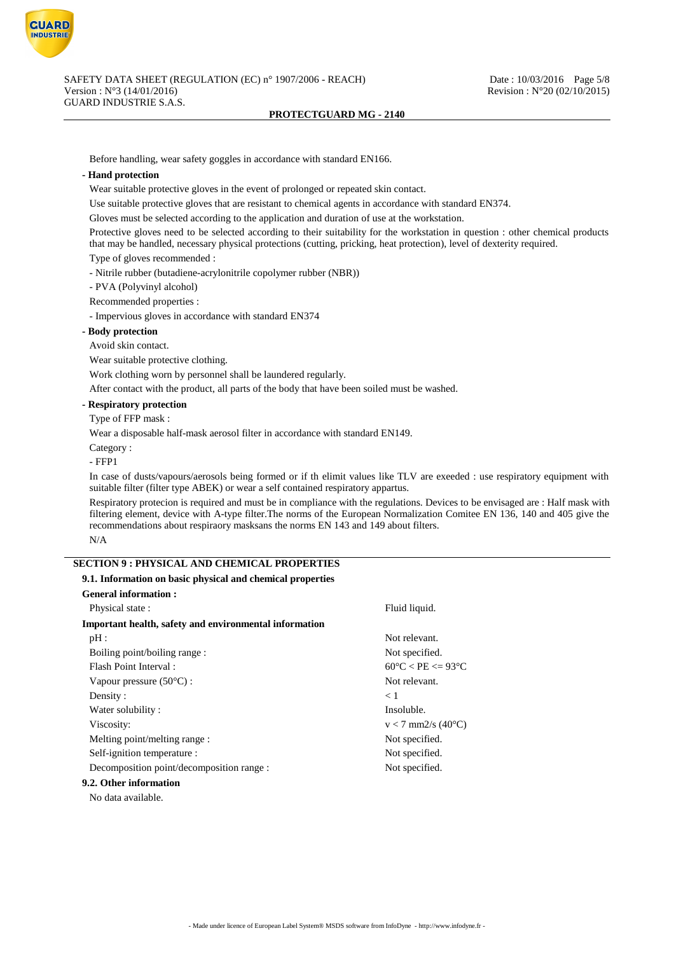

Before handling, wear safety goggles in accordance with standard EN166.

## **- Hand protection**

Wear suitable protective gloves in the event of prolonged or repeated skin contact.

Use suitable protective gloves that are resistant to chemical agents in accordance with standard EN374.

Gloves must be selected according to the application and duration of use at the workstation.

Protective gloves need to be selected according to their suitability for the workstation in question : other chemical products that may be handled, necessary physical protections (cutting, pricking, heat protection), level of dexterity required.

Type of gloves recommended :

- Nitrile rubber (butadiene-acrylonitrile copolymer rubber (NBR))

- PVA (Polyvinyl alcohol)

Recommended properties :

- Impervious gloves in accordance with standard EN374

## **- Body protection**

Avoid skin contact.

Wear suitable protective clothing.

Work clothing worn by personnel shall be laundered regularly.

After contact with the product, all parts of the body that have been soiled must be washed.

## **- Respiratory protection**

## Type of FFP mask :

Wear a disposable half-mask aerosol filter in accordance with standard EN149.

Category :

- FFP1

In case of dusts/vapours/aerosols being formed or if th elimit values like TLV are exeeded : use respiratory equipment with suitable filter (filter type ABEK) or wear a self contained respiratory appartus.

Respiratory protecion is required and must be in compliance with the regulations. Devices to be envisaged are : Half mask with filtering element, device with A-type filter.The norms of the European Normalization Comitee EN 136, 140 and 405 give the recommendations about respiraory masksans the norms EN 143 and 149 about filters. N/A

# **SECTION 9 : PHYSICAL AND CHEMICAL PROPERTIES**

## **9.1. Information on basic physical and chemical properties**

| <b>General information:</b>                            |                                        |
|--------------------------------------------------------|----------------------------------------|
| Physical state:                                        | Fluid liquid.                          |
| Important health, safety and environmental information |                                        |
| $pH$ :                                                 | Not relevant.                          |
| Boiling point/boiling range:                           | Not specified.                         |
| Flash Point Interval:                                  | $60^{\circ}$ C < PE <= 93 $^{\circ}$ C |
| Vapour pressure $(50^{\circ}C)$ :                      | Not relevant.                          |
| Density:                                               | < 1                                    |
| Water solubility:                                      | Insoluble.                             |
| Viscosity:                                             | $v < 7$ mm2/s (40 $^{\circ}$ C)        |
| Melting point/melting range:                           | Not specified.                         |
| Self-ignition temperature :                            | Not specified.                         |
| Decomposition point/decomposition range :              | Not specified.                         |
| 9.2. Other information                                 |                                        |
|                                                        |                                        |

No data available.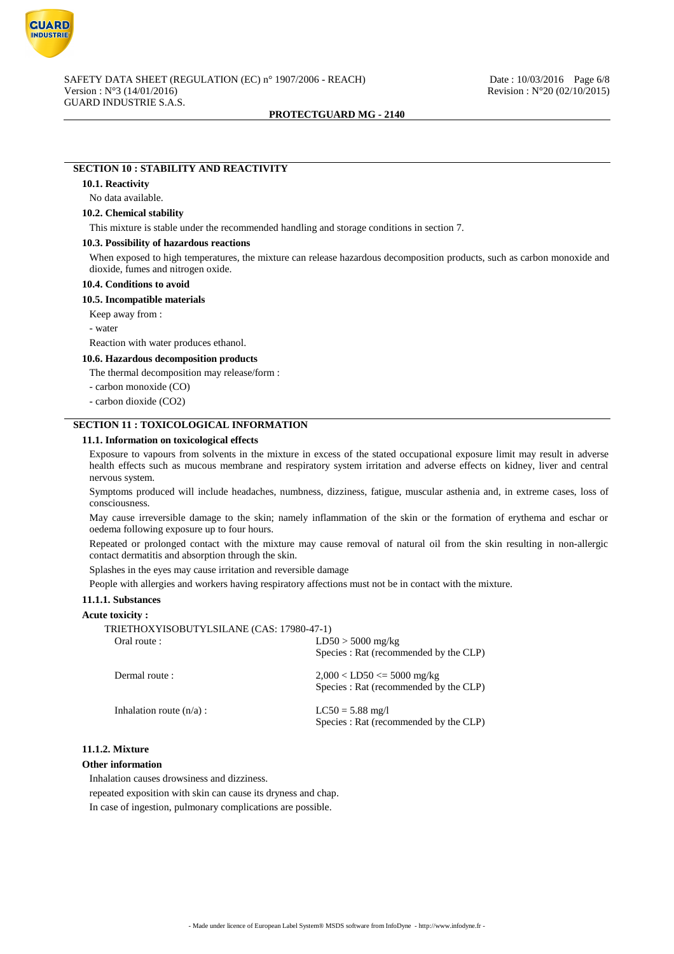

# **SECTION 10 : STABILITY AND REACTIVITY**

#### **10.1. Reactivity**

#### No data available.

#### **10.2. Chemical stability**

This mixture is stable under the recommended handling and storage conditions in section 7.

#### **10.3. Possibility of hazardous reactions**

When exposed to high temperatures, the mixture can release hazardous decomposition products, such as carbon monoxide and dioxide, fumes and nitrogen oxide.

## **10.4. Conditions to avoid**

#### **10.5. Incompatible materials**

Keep away from :

- water

Reaction with water produces ethanol.

#### **10.6. Hazardous decomposition products**

The thermal decomposition may release/form :

- carbon monoxide (CO)

- carbon dioxide (CO2)

## **SECTION 11 : TOXICOLOGICAL INFORMATION**

## **11.1. Information on toxicological effects**

Exposure to vapours from solvents in the mixture in excess of the stated occupational exposure limit may result in adverse health effects such as mucous membrane and respiratory system irritation and adverse effects on kidney, liver and central nervous system.

Symptoms produced will include headaches, numbness, dizziness, fatigue, muscular asthenia and, in extreme cases, loss of consciousness.

May cause irreversible damage to the skin; namely inflammation of the skin or the formation of erythema and eschar or oedema following exposure up to four hours.

Repeated or prolonged contact with the mixture may cause removal of natural oil from the skin resulting in non-allergic contact dermatitis and absorption through the skin.

Splashes in the eyes may cause irritation and reversible damage

People with allergies and workers having respiratory affections must not be in contact with the mixture.

## **11.1.1. Substances**

#### **Acute toxicity :**

| TRIETHOXYISOBUTYLSILANE (CAS: 17980-47-1) |                                        |
|-------------------------------------------|----------------------------------------|
| Oral route :                              | $LD50 > 5000$ mg/kg                    |
|                                           | Species : Rat (recommended by the CLP) |
| Dermal route:                             | $2,000 <$ LD50 $\leq$ 5000 mg/kg       |
|                                           | Species : Rat (recommended by the CLP) |
| Inhalation route $(n/a)$ :                | $LC50 = 5.88$ mg/l                     |
|                                           | Species : Rat (recommended by the CLP) |

## **11.1.2. Mixture**

## **Other information**

Inhalation causes drowsiness and dizziness.

repeated exposition with skin can cause its dryness and chap.

In case of ingestion, pulmonary complications are possible.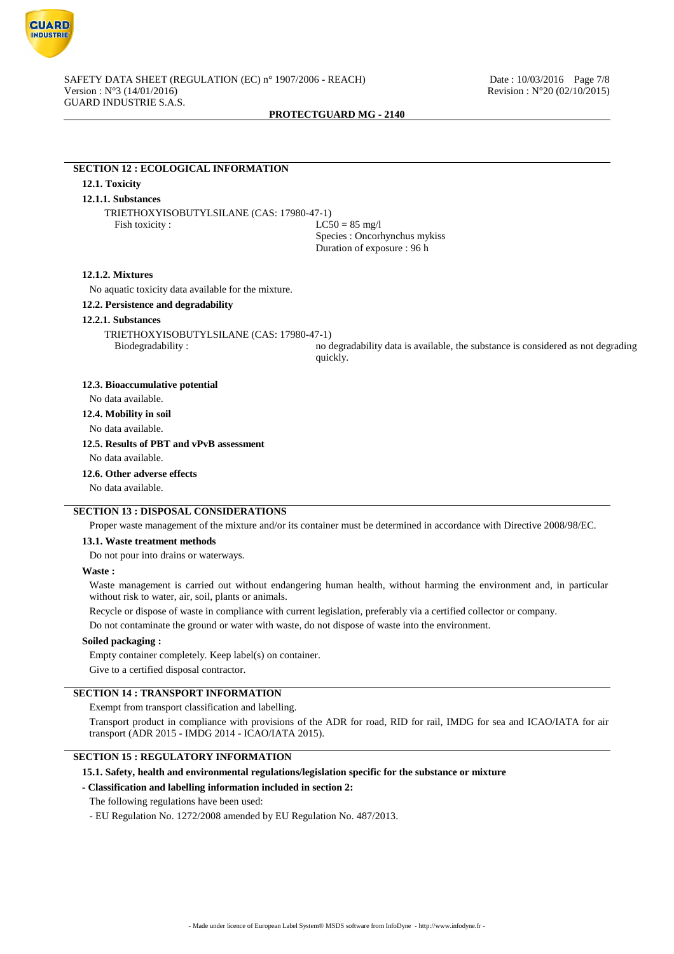

## **SECTION 12 : ECOLOGICAL INFORMATION**

## **12.1. Toxicity**

# **12.1.1. Substances**

TRIETHOXYISOBUTYLSILANE (CAS: 17980-47-1) Fish toxicity :  $LC50 = 85 \text{ mg/l}$ 

Species : Oncorhynchus mykiss Duration of exposure : 96 h

#### **12.1.2. Mixtures**

No aquatic toxicity data available for the mixture.

## **12.2. Persistence and degradability**

#### **12.2.1. Substances**

TRIETHOXYISOBUTYLSILANE (CAS: 17980-47-1)

Biodegradability : no degradability data is available, the substance is considered as not degrading quickly.

## **12.3. Bioaccumulative potential**

No data available.

# **12.4. Mobility in soil**

No data available.

## **12.5. Results of PBT and vPvB assessment**

No data available.

**12.6. Other adverse effects**

No data available.

# **SECTION 13 : DISPOSAL CONSIDERATIONS**

Proper waste management of the mixture and/or its container must be determined in accordance with Directive 2008/98/EC.

#### **13.1. Waste treatment methods**

Do not pour into drains or waterways.

## **Waste :**

Waste management is carried out without endangering human health, without harming the environment and, in particular without risk to water, air, soil, plants or animals.

Recycle or dispose of waste in compliance with current legislation, preferably via a certified collector or company.

Do not contaminate the ground or water with waste, do not dispose of waste into the environment.

#### **Soiled packaging :**

Empty container completely. Keep label(s) on container.

Give to a certified disposal contractor.

## **SECTION 14 : TRANSPORT INFORMATION**

Exempt from transport classification and labelling.

Transport product in compliance with provisions of the ADR for road, RID for rail, IMDG for sea and ICAO/IATA for air transport (ADR 2015 - IMDG 2014 - ICAO/IATA 2015).

## **SECTION 15 : REGULATORY INFORMATION**

#### **15.1. Safety, health and environmental regulations/legislation specific for the substance or mixture**

#### **- Classification and labelling information included in section 2:**

The following regulations have been used:

- EU Regulation No. 1272/2008 amended by EU Regulation No. 487/2013.